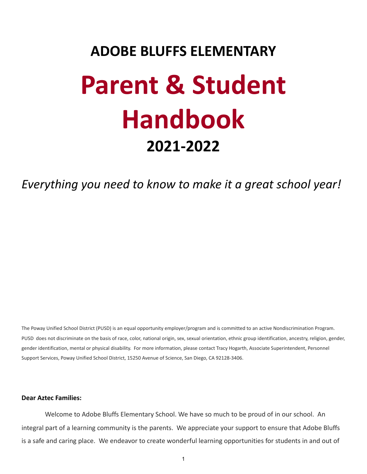# **ADOBE BLUFFS ELEMENTARY Parent & Student Handbook 2021-2022**

*Everything you need to know to make it a great school year!*

The Poway Unified School District (PUSD) is an equal opportunity employer/program and is committed to an active Nondiscrimination Program. PUSD does not discriminate on the basis of race, color, national origin, sex, sexual orientation, ethnic group identification, ancestry, religion, gender, gender identification, mental or physical disability. For more information, please contact Tracy Hogarth, Associate Superintendent, Personnel Support Services, Poway Unified School District, 15250 Avenue of Science, San Diego, CA 92128-3406.

# **Dear Aztec Families:**

Welcome to Adobe Bluffs Elementary School. We have so much to be proud of in our school. An integral part of a learning community is the parents. We appreciate your support to ensure that Adobe Bluffs is a safe and caring place. We endeavor to create wonderful learning opportunities for students in and out of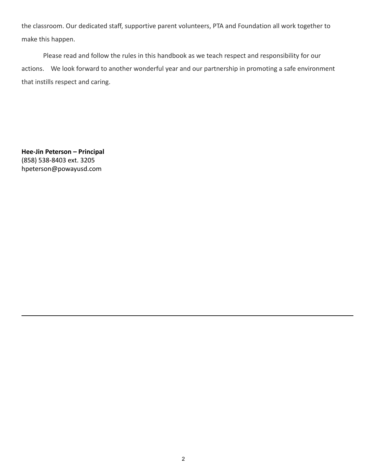the classroom. Our dedicated staff, supportive parent volunteers, PTA and Foundation all work together to make this happen.

Please read and follow the rules in this handbook as we teach respect and responsibility for our actions. We look forward to another wonderful year and our partnership in promoting a safe environment that instills respect and caring.

**Hee-Jin Peterson – Principal** (858) 538-8403 ext. 3205 hpeterson@powayusd.com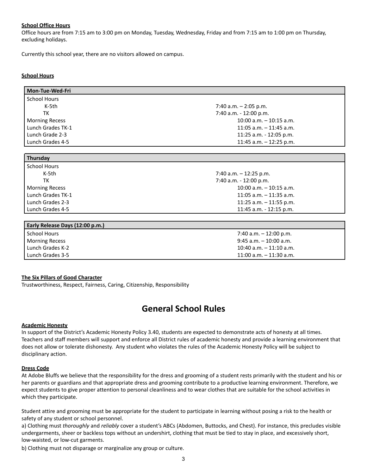#### **School Office Hours**

Office hours are from 7:15 am to 3:00 pm on Monday, Tuesday, Wednesday, Friday and from 7:15 am to 1:00 pm on Thursday, excluding holidays.

Currently this school year, there are no visitors allowed on campus.

#### **School Hours**

| <b>Mon-Tue-Wed-Fri</b> |                            |
|------------------------|----------------------------|
| <b>School Hours</b>    |                            |
| K-5th                  | 7:40 a.m. $-$ 2:05 p.m.    |
| тк                     | 7:40 a.m. - 12:00 p.m.     |
| <b>Morning Recess</b>  | $10:00$ a.m. $-10:15$ a.m. |
| Lunch Grades TK-1      | $11:05$ a.m. $-11:45$ a.m. |
| Lunch Grade 2-3        | 11:25 a.m. - 12:05 p.m.    |
| Lunch Grades 4-5       | 11:45 a.m. $-$ 12:25 p.m.  |
|                        |                            |
| Thursday               |                            |

| <b>School Hours</b>   |                             |
|-----------------------|-----------------------------|
| K-5th                 | 7:40 a.m. $-$ 12:25 p.m.    |
| тк                    | 7:40 a.m. - 12:00 p.m.      |
| <b>Morning Recess</b> | $10:00$ a.m. $-10:15$ a.m.  |
| Lunch Grades TK-1     | $11:05$ a.m. $-11:35$ a.m.  |
| Lunch Grades 2-3      | 11:25 a.m. $-$ 11:55 p.m.   |
| Lunch Grades 4-5      | $11:45$ a.m. - $12:15$ p.m. |

| Early Release Days (12:00 p.m.) |                            |
|---------------------------------|----------------------------|
| School Hours                    | 7:40 a.m. $-$ 12:00 p.m.   |
| <b>Morning Recess</b>           | $9:45$ a.m. $-10:00$ a.m.  |
| Lunch Grades K-2                | $10:40$ a.m. $-11:10$ a.m. |
| Lunch Grades 3-5                | $11:00$ a.m. $-11:30$ a.m. |

# **The Six Pillars of Good Character**

Trustworthiness, Respect, Fairness, Caring, Citizenship, Responsibility

# **General School Rules**

#### **Academic Honesty**

In support of the District's Academic Honesty Policy 3.40, students are expected to demonstrate acts of honesty at all times. Teachers and staff members will support and enforce all District rules of academic honesty and provide a learning environment that does not allow or tolerate dishonesty. Any student who violates the rules of the Academic Honesty Policy will be subject to disciplinary action.

#### **Dress Code**

At Adobe Bluffs we believe that the responsibility for the dress and grooming of a student rests primarily with the student and his or her parents or guardians and that appropriate dress and grooming contribute to a productive learning environment. Therefore, we expect students to give proper attention to personal cleanliness and to wear clothes that are suitable for the school activities in which they participate.

Student attire and grooming must be appropriate for the student to participate in learning without posing a risk to the health or safety of any student or school personnel.

a) Clothing must *thoroughly* and *reliably* cover a student's ABCs (Abdomen, Buttocks, and Chest). For instance, this precludes visible undergarments, sheer or backless tops without an undershirt, clothing that must be tied to stay in place, and excessively short, low-waisted, or low-cut garments.

b) Clothing must not disparage or marginalize any group or culture.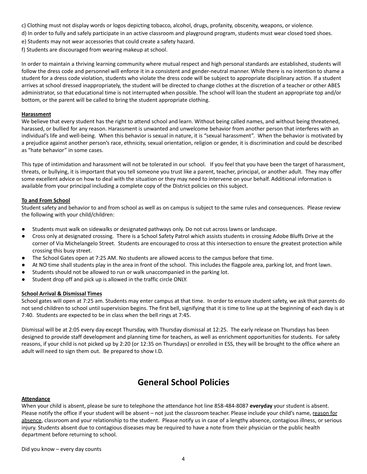- c) Clothing must not display words or logos depicting tobacco, alcohol, drugs, profanity, obscenity, weapons, or violence.
- d) In order to fully and safely participate in an active classroom and playground program, students must wear closed toed shoes.
- e) Students may not wear accessories that could create a safety hazard.
- f) Students are discouraged from wearing makeup at school.

In order to maintain a thriving learning community where mutual respect and high personal standards are established, students will follow the dress code and personnel will enforce it in a consistent and gender-neutral manner. While there is no intention to shame a student for a dress code violation, students who violate the dress code will be subject to appropriate disciplinary action. If a student arrives at school dressed inappropriately, the student will be directed to change clothes at the discretion of a teacher or other ABES administrator, so that educational time is not interrupted when possible. The school will loan the student an appropriate top and/or bottom, or the parent will be called to bring the student appropriate clothing.

#### **Harassment**

We believe that every student has the right to attend school and learn. Without being called names, and without being threatened, harassed, or bullied for any reason. Harassment is unwanted and unwelcome behavior from another person that interferes with an individual's life and well-being. When this behavior is sexual in nature, it is "sexual harassment". When the behavior is motivated by a prejudice against another person's race, ethnicity, sexual orientation, religion or gender, it is discrimination and could be described as "hate behavior" in some cases.

This type of intimidation and harassment will not be tolerated in our school. If you feel that you have been the target of harassment, threats, or bullying, it is important that you tell someone you trust like a parent, teacher, principal, or another adult. They may offer some excellent advice on how to deal with the situation or they may need to intervene on your behalf. Additional information is available from your principal including a complete copy of the District policies on this subject.

#### **To and From School**

Student safety and behavior to and from school as well as on campus is subject to the same rules and consequences. Please review the following with your child/children:

- **●** Students must walk on sidewalks or designated pathways only. Do not cut across lawns or landscape.
- Cross only at designated crossing. There is a School Safety Patrol which assists students in crossing Adobe Bluffs Drive at the corner of Via Michelangelo Street. Students are encouraged to cross at this intersection to ensure the greatest protection while crossing this busy street.
- The School Gates open at 7:25 AM. No students are allowed access to the campus before that time.
- At NO time shall students play in the area in front of the school. This includes the flagpole area, parking lot, and front lawn.
- Students should not be allowed to run or walk unaccompanied in the parking lot.
- Student drop off and pick up is allowed in the traffic circle ONLY.

#### **School Arrival & Dismissal Times**

School gates will open at 7:25 am. Students may enter campus at that time. In order to ensure student safety, we ask that parents do not send children to school until supervision begins. The first bell, signifying that it is time to line up at the beginning of each day is at 7:40. Students are expected to be in class when the bell rings at 7:45.

Dismissal will be at 2:05 every day except Thursday, with Thursday dismissal at 12:25. The early release on Thursdays has been designed to provide staff development and planning time for teachers, as well as enrichment opportunities for students. For safety reasons, if your child is not picked up by 2:20 (or 12:35 on Thursdays) or enrolled in ESS, they will be brought to the office where an adult will need to sign them out. Be prepared to show I.D.

# **General School Policies**

#### **Attendance**

When your child is absent, please be sure to telephone the attendance hot line 858-484-8087 **everyday** your student is absent. Please notify the office if your student will be absent – not just the classroom teacher. Please include your child's name, reason for absence, classroom and your relationship to the student. Please notify us in case of a lengthy absence, contagious illness, or serious injury. Students absent due to contagious diseases may be required to have a note from their physician or the public health department before returning to school.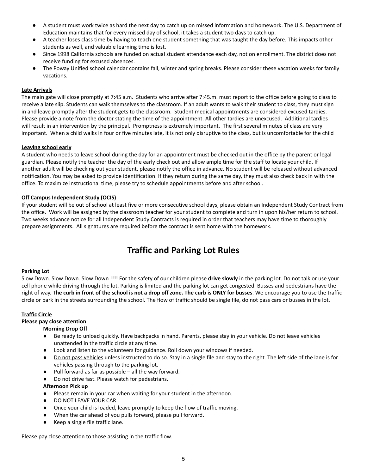- A student must work twice as hard the next day to catch up on missed information and homework. The U.S. Department of Education maintains that for every missed day of school, it takes a student two days to catch up.
- A teacher loses class time by having to teach one student something that was taught the day before. This impacts other students as well, and valuable learning time is lost.
- Since 1998 California schools are funded on actual student attendance each day, not on enrollment. The district does not receive funding for excused absences.
- The Poway Unified school calendar contains fall, winter and spring breaks. Please consider these vacation weeks for family vacations.

# **Late Arrivals**

The main gate will close promptly at 7:45 a.m. Students who arrive after 7:45.m. must report to the office before going to class to receive a late slip. Students can walk themselves to the classroom. If an adult wants to walk their student to class, they must sign in and leave promptly after the student gets to the classroom. Student medical appointments are considered excused tardies. Please provide a note from the doctor stating the time of the appointment. All other tardies are unexcused. Additional tardies will result in an intervention by the principal. Promptness is extremely important. The first several minutes of class are very important. When a child walks in four or five minutes late, it is not only disruptive to the class, but is uncomfortable for the child

#### **Leaving school early**

A student who needs to leave school during the day for an appointment must be checked out in the office by the parent or legal guardian. Please notify the teacher the day of the early check out and allow ample time for the staff to locate your child. If another adult will be checking out your student, please notify the office in advance. No student will be released without advanced notification. You may be asked to provide identification. If they return during the same day, they must also check back in with the office. To maximize instructional time, please try to schedule appointments before and after school.

#### **Off Campus Independent Study (OCIS)**

If your student will be out of school at least five or more consecutive school days, please obtain an Independent Study Contract from the office. Work will be assigned by the classroom teacher for your student to complete and turn in upon his/her return to school. Two weeks advance notice for all Independent Study Contracts is required in order that teachers may have time to thoroughly prepare assignments. All signatures are required before the contract is sent home with the homework.

# **Traffic and Parking Lot Rules**

#### **Parking Lot**

Slow Down. Slow Down. Slow Down !!!! For the safety of our children please **drive slowly** in the parking lot. Do not talk or use your cell phone while driving through the lot. Parking is limited and the parking lot can get congested. Busses and pedestrians have the right of way. The curb in front of the school is not a drop off zone. The curb is ONLY for busses. We encourage you to use the traffic circle or park in the streets surrounding the school. The flow of traffic should be single file, do not pass cars or busses in the lot.

# **Traffic Circle**

# **Please pay close attention**

#### **Morning Drop Off**

- Be ready to unload quickly. Have backpacks in hand. Parents, please stay in your vehicle. Do not leave vehicles unattended in the traffic circle at any time.
- Look and listen to the volunteers for guidance. Roll down your windows if needed.
- Do not pass vehicles unless instructed to do so. Stay in a single file and stay to the right. The left side of the lane is for vehicles passing through to the parking lot.
- Pull forward as far as possible all the way forward.
- Do not drive fast. Please watch for pedestrians.

#### **Afternoon Pick up**

- Please remain in your car when waiting for your student in the afternoon.
- **DO NOT LEAVE YOUR CAR.**
- Once your child is loaded, leave promptly to keep the flow of traffic moving.
- When the car ahead of you pulls forward, please pull forward.
- Keep a single file traffic lane.

Please pay close attention to those assisting in the traffic flow.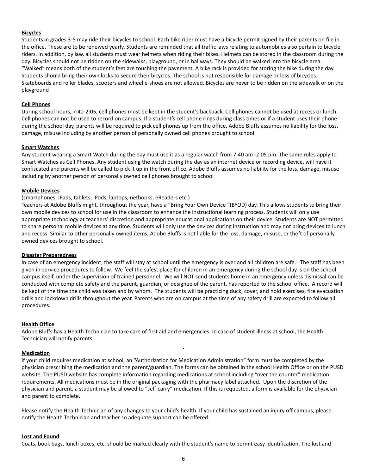#### **Bicycles**

Students in grades 3-5 may ride their bicycles to school. Each bike rider must have a bicycle permit signed by their parents on file in the office. These are to be renewed yearly. Students are reminded that all traffic laws relating to automobiles also pertain to bicycle riders. In addition, by law, all students must wear helmets when riding their bikes. Helmets can be stored in the classroom during the day. Bicycles should not be ridden on the sidewalks, playground, or in hallways. They should be walked into the bicycle area. "Walked" means both of the student's feet are touching the pavement. A bike rack is provided for storing the bike during the day. Students should bring their own locks to secure their bicycles. The school is not responsible for damage or loss of bicycles. Skateboards and roller blades, scooters and wheelie-shoes are not allowed. Bicycles are never to be ridden on the sidewalk or on the playground

#### **Cell Phones**

During school hours, 7:40-2:05, cell phones must be kept in the student's backpack. Cell phones cannot be used at recess or lunch. Cell phones can not be used to record on campus. If a student's cell phone rings during class times or if a student uses their phone during the school day, parents will be required to pick cell phones up from the office. Adobe Bluffs assumes no liability for the loss, damage, misuse including by another person of personally owned cell phones brought to school.

#### **Smart Watches**

Any student wearing a Smart Watch during the day must use it as a regular watch from 7:40 am -2:05 pm. The same rules apply to Smart Watches as Cell Phones. Any student using the watch during the day as an internet device or recording device, will have it confiscated and parents will be called to pick it up in the front office. Adobe Bluffs assumes no liability for the loss, damage, misuse including by another person of personally owned cell phones brought to school

#### **Mobile Devices**

#### (smartphones, iPads, tablets, iPods, laptops, netbooks, eReaders etc.)

Teachers at Adobe Bluffs might, throughout the year, have a "Bring Your Own Device "(BYOD) day. This allows students to bring their own mobile devices to school for use in the classroom to enhance the instructional learning process. Students will only use appropriate technology at teachers' discretion and appropriate educational applications on their device. Students are NOT permitted to share personal mobile devices at any time. Students will only use the devices during instruction and may not bring devices to lunch and recess. Similar to other personally owned items, Adobe Bluffs is not liable for the loss, damage, misuse, or theft of personally owned devices brought to school.

#### **Disaster Preparedness**

In case of an emergency incident, the staff will stay at school until the emergency is over and all children are safe. The staff has been given in-service procedures to follow. We feel the safest place for children in an emergency during the school day is on the school campus itself, under the supervision of trained personnel. We will NOT send students home in an emergency unless dismissal can be conducted with complete safety and the parent, guardian, or designee of the parent, has reported to the school office. A record will be kept of the time the child was taken and by whom. The students will be practicing duck, cover, and hold exercises, fire evacuation drills and lockdown drills throughout the year. Parents who are on campus at the time of any safety drill are expected to follow all procedures.

#### **Health Office**

Adobe Bluffs has a Health Technician to take care of first aid and emergencies. In case of student illness at school, the Health Technician will notify parents.

#### **Medication**

If your child requires medication at school, an "Authorization for Medication Administration" form must be completed by the physician prescribing the medication and the parent/guardian. The forms can be obtained in the school Health Office or on the PUSD website. The PUSD website has complete information regarding medications at school including "over the counter" medication requirements. All medications must be in the original packaging with the pharmacy label attached. Upon the discretion of the physician and parent, a student may be allowed to "self-carry" medication. If this is requested, a form is available for the physician and parent to complete.

Please notify the Health Technician of any changes to your child's health. If your child has sustained an injury off campus, please notify the Health Technician and teacher so adequate support can be offered.

#### **Lost and Found**

Coats, book bags, lunch boxes, etc. should be marked clearly with the student's name to permit easy identification. The lost and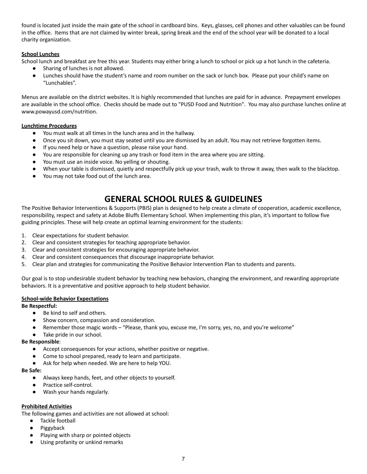found is located just inside the main gate of the school in cardboard bins. Keys, glasses, cell phones and other valuables can be found in the office. Items that are not claimed by winter break, spring break and the end of the school year will be donated to a local charity organization.

# **School Lunches**

School lunch and breakfast are free this year. Students may either bring a lunch to school or pick up a hot lunch in the cafeteria.

- Sharing of lunches is not allowed.
- Lunches should have the student's name and room number on the sack or lunch box. Please put your child's name on "Lunchables".

Menus are available on the district websites. It is highly recommended that lunches are paid for in advance. Prepayment envelopes are available in the school office. Checks should be made out to "PUSD Food and Nutrition". You may also purchase lunches online at www.powayusd.com/nutrition.

# **Lunchtime Procedures**

- You must walk at all times in the lunch area and in the hallway.
- Once you sit down, you must stay seated until you are dismissed by an adult. You may not retrieve forgotten items.
- If you need help or have a question, please raise your hand.
- You are responsible for cleaning up any trash or food item in the area where you are sitting.
- You must use an inside voice. No yelling or shouting.
- When your table is dismissed, quietly and respectfully pick up your trash, walk to throw it away, then walk to the blacktop.
- You may not take food out of the lunch area.

# **GENERAL SCHOOL RULES & GUIDELINES**

The Positive Behavior Interventions & Supports (PBIS) plan is designed to help create a climate of cooperation, academic excellence, responsibility, respect and safety at Adobe Bluffs Elementary School. When implementing this plan, it's important to follow five guiding principles. These will help create an optimal learning environment for the students:

- 1. Clear expectations for student behavior.
- 2. Clear and consistent strategies for teaching appropriate behavior.
- 3. Clear and consistent strategies for encouraging appropriate behavior.
- 4. Clear and consistent consequences that discourage inappropriate behavior.
- 5. Clear plan and strategies for communicating the Positive Behavior Intervention Plan to students and parents.

Our goal is to stop undesirable student behavior by teaching new behaviors, changing the environment, and rewarding appropriate behaviors. It is a preventative and positive approach to help student behavior.

# **School-wide Behavior Expectations**

# **Be Respectful:**

- Be kind to self and others.
- Show concern, compassion and consideration.
- Remember those magic words "Please, thank you, excuse me, I'm sorry, yes, no, and you're welcome"
- Take pride in our school.

# **Be Responsible**:

- Accept consequences for your actions, whether positive or negative.
- Come to school prepared, ready to learn and participate.
- Ask for help when needed. We are here to help YOU.

#### **Be Safe:**

- Always keep hands, feet, and other objects to yourself.
- Practice self-control.
- Wash your hands regularly.

# **Prohibited Activities**

The following games and activities are not allowed at school:

- Tackle football
	- Piggyback
- Playing with sharp or pointed objects
- Using profanity or unkind remarks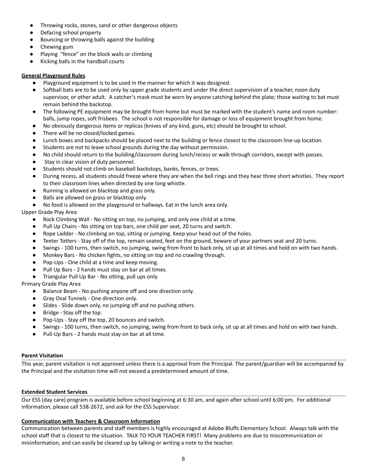- Throwing rocks, stones, sand or other dangerous objects
- Defacing school property
- Bouncing or throwing balls against the building
- Chewing gum
- Playing "fence" on the block walls or climbing
- Kicking balls in the handball courts

# **General Playground Rules**

- Playground equipment is to be used in the manner for which it was designed.
- Softball bats are to be used only by upper grade students and under the direct supervision of a teacher, noon duty supervisor, or other adult. A catcher's mask must be worn by anyone catching behind the plate; those waiting to bat must remain behind the backstop.
- The following PE equipment may be brought from home but must be marked with the student's name and room number: balls, jump ropes, soft frisbees. The school is not responsible for damage or loss of equipment brought from home.
- No obviously dangerous items or replicas (knives of any kind, guns, etc) should be brought to school.
- There will be no closed/locked games.
- Lunch boxes and backpacks should be placed next to the building or fence closest to the classroom line-up location.
- Students are not to leave school grounds during the day without permission.
- No child should return to the building/classroom during lunch/recess or walk through corridors, except with passes.
- Stay in clear vision of duty personnel.
- Students should not climb on baseball backstops, banks, fences, or trees.
- During recess, all students should freeze where they are when the bell rings and they hear three short whistles. They report to their classroom lines when directed by one long whistle.
- Running is allowed on blacktop and grass only.
- Balls are allowed on grass or blacktop only.
- No food is allowed on the playground or hallways. Eat in the lunch area only.

Upper Grade Play Area

- Rock Climbing Wall No sitting on top, no jumping, and only one child at a time.
- Pull Up Chairs No sitting on top bars, one child per seat, 20 turns and switch.
- Rope Ladder No climbing on top, sitting or jumping. Keep your head out of the holes.
- Teeter Totters Stay off of the top, remain seated, feet on the ground, beware of your partners seat and 20 turns.
- Swings 100 turns, then switch, no jumping, swing from front to back only, sit up at all times and hold on with two hands.
- Monkey Bars No chicken fights, no sitting on top and no crawling through.
- Pop-Ups One child at a time and keep moving.
- Pull Up Bars 2 hands must stay on bar at all times.
- Triangular Pull Up Bar No sitting, pull ups only.

Primary Grade Play Area

- Balance Beam No pushing anyone off and one direction only.
- Gray Oval Tunnels One direction only.
- Slides Slide down only, no jumping off and no pushing others.
- Bridge Stay off the top.
- Pop-Ups Stay off the top, 20 bounces and switch.
- Swings 100 turns, then switch, no jumping, swing from front to back only, sit up at all times and hold on with two hands.
- Pull-Up Bars 2 hands must stay on bar at all time.

# **Parent Visitation**

This year, parent visitation is not approved unless there is a approval from the Principal. The parent/guardian will be accompanied by the Principal and the visitation time will not exceed a predetermined amount of time.

# **Extended Student Services**

Our ESS (day care) program is available before school beginning at 6:30 am, and again after school until 6:00 pm. For additional information, please call 538-2672, and ask for the ESS Supervisor.

# **Communication with Teachers & Classroom Information**

Communication between parents and staff members is highly encouraged at Adobe Bluffs Elementary School. Always talk with the school staff that is closest to the situation. TALK TO YOUR TEACHER FIRST! Many problems are due to miscommunication or misinformation, and can easily be cleared up by talking or writing a note to the teacher.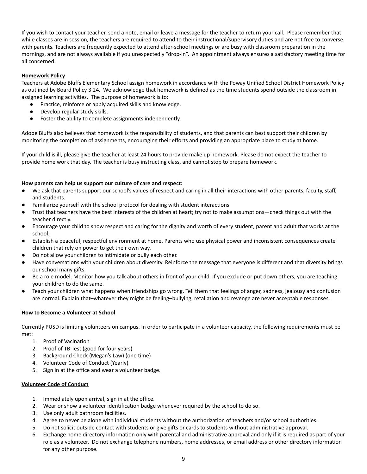If you wish to contact your teacher, send a note, email or leave a message for the teacher to return your call. Please remember that while classes are in session, the teachers are required to attend to their instructional/supervisory duties and are not free to converse with parents. Teachers are frequently expected to attend after-school meetings or are busy with classroom preparation in the mornings, and are not always available if you unexpectedly "drop-in". An appointment always ensures a satisfactory meeting time for all concerned.

# **Homework Policy**

Teachers at Adobe Bluffs Elementary School assign homework in accordance with the Poway Unified School District Homework Policy as outlined by Board Policy 3.24. We acknowledge that homework is defined as the time students spend outside the classroom in assigned learning activities. The purpose of homework is to:

- Practice, reinforce or apply acquired skills and knowledge.
- Develop regular study skills.
- Foster the ability to complete assignments independently.

Adobe Bluffs also believes that homework is the responsibility of students, and that parents can best support their children by monitoring the completion of assignments, encouraging their efforts and providing an appropriate place to study at home.

If your child is ill, please give the teacher at least 24 hours to provide make up homework. Please do not expect the teacher to provide home work that day. The teacher is busy instructing class, and cannot stop to prepare homework.

# **How parents can help us support our culture of care and respect:**

- We ask that parents support our school's values of respect and caring in all their interactions with other parents, faculty, staff, and students.
- Familiarize yourself with the school protocol for dealing with student interactions.
- Trust that teachers have the best interests of the children at heart; try not to make assumptions—check things out with the teacher directly.
- Encourage your child to show respect and caring for the dignity and worth of every student, parent and adult that works at the school.
- Establish a peaceful, respectful environment at home. Parents who use physical power and inconsistent consequences create children that rely on power to get their own way.
- Do not allow your children to intimidate or bully each other.
- Have conversations with your children about diversity. Reinforce the message that everyone is different and that diversity brings our school many gifts.
- Be a role model. Monitor how you talk about others in front of your child. If you exclude or put down others, you are teaching your children to do the same.
- Teach your children what happens when friendships go wrong. Tell them that feelings of anger, sadness, jealousy and confusion are normal. Explain that–whatever they might be feeling–bullying, retaliation and revenge are never acceptable responses.

# **How to Become a Volunteer at School**

Currently PUSD is limiting volunteers on campus. In order to participate in a volunteer capacity, the following requirements must be met:

- 1. Proof of Vacination
- 2. Proof of TB Test (good for four years)
- 3. Background Check (Megan's Law) (one time)
- 4. Volunteer Code of Conduct (Yearly)
- 5. Sign in at the office and wear a volunteer badge.

# **Volunteer Code of Conduct**

- 1. Immediately upon arrival, sign in at the office.
- 2. Wear or show a volunteer identification badge whenever required by the school to do so.
- 3. Use only adult bathroom facilities.
- 4. Agree to never be alone with individual students without the authorization of teachers and/or school authorities.
- 5. Do not solicit outside contact with students or give gifts or cards to students without administrative approval.
- 6. Exchange home directory information only with parental and administrative approval and only if it is required as part of your role as a volunteer. Do not exchange telephone numbers, home addresses, or email address or other directory information for any other purpose.